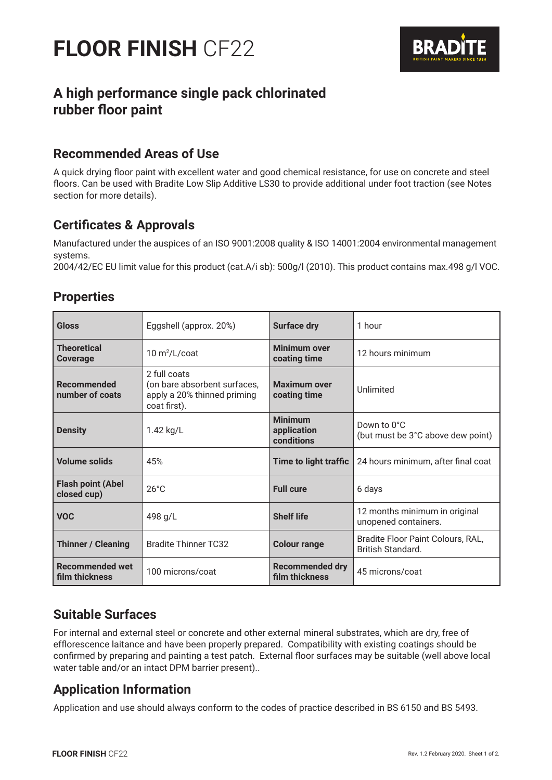

# **A high performance single pack chlorinated rubber floor paint**

## **Recommended Areas of Use**

A quick drying floor paint with excellent water and good chemical resistance, for use on concrete and steel floors. Can be used with Bradite Low Slip Additive LS30 to provide additional under foot traction (see Notes section for more details).

## **Certificates & Approvals**

Manufactured under the auspices of an ISO 9001:2008 quality & ISO 14001:2004 environmental management systems.

2004/42/EC EU limit value for this product (cat.A/i sb): 500g/l (2010). This product contains max.498 g/l VOC.

## **Properties**

| <b>Gloss</b>                             | Eggshell (approx. 20%)                                                                      | <b>Surface dry</b>                          | 1 hour                                                        |
|------------------------------------------|---------------------------------------------------------------------------------------------|---------------------------------------------|---------------------------------------------------------------|
| <b>Theoretical</b><br><b>Coverage</b>    | $10 \text{ m}^2$ /L/coat                                                                    | <b>Minimum over</b><br>coating time         | 12 hours minimum                                              |
| Recommended<br>number of coats           | 2 full coats<br>(on bare absorbent surfaces,<br>apply a 20% thinned priming<br>coat first). | <b>Maximum over</b><br>coating time         | Unlimited                                                     |
| <b>Density</b>                           | 1.42 $kg/L$                                                                                 | <b>Minimum</b><br>application<br>conditions | Down to 0°C<br>(but must be 3°C above dew point)              |
| <b>Volume solids</b>                     | 45%                                                                                         | <b>Time to light traffic</b>                | 24 hours minimum, after final coat                            |
| <b>Flash point (Abel</b><br>closed cup)  | $26^{\circ}$ C                                                                              | <b>Full cure</b>                            | 6 days                                                        |
| <b>VOC</b>                               | 498 g/L                                                                                     | <b>Shelf life</b>                           | 12 months minimum in original<br>unopened containers.         |
| <b>Thinner / Cleaning</b>                | <b>Bradite Thinner TC32</b>                                                                 | <b>Colour range</b>                         | Bradite Floor Paint Colours, RAL,<br><b>British Standard.</b> |
| <b>Recommended wet</b><br>film thickness | 100 microns/coat                                                                            | <b>Recommended dry</b><br>film thickness    | 45 microns/coat                                               |

### **Suitable Surfaces**

For internal and external steel or concrete and other external mineral substrates, which are dry, free of efflorescence laitance and have been properly prepared. Compatibility with existing coatings should be confirmed by preparing and painting a test patch. External floor surfaces may be suitable (well above local water table and/or an intact DPM barrier present)..

### **Application Information**

Application and use should always conform to the codes of practice described in BS 6150 and BS 5493.